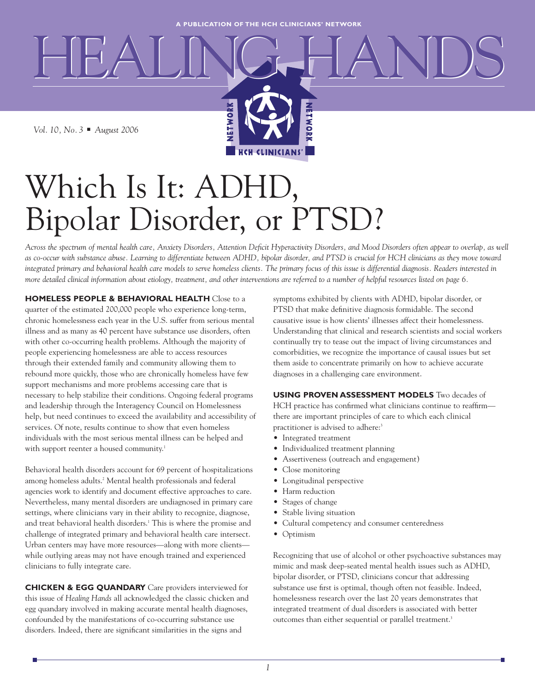ETWO

*Vol. 10, No. 3* **■** *August 2006*

# Which Is It: ADHD, Bipolar Disorder, or PTSD?

NETWORK

*Across the spectrum of mental health care, Anxiety Disorders, Attention Deficit Hyperactivity Disorders, and Mood Disorders often appear to overlap, as well as co-occur with substance abuse. Learning to differentiate between ADHD, bipolar disorder, and PTSD is crucial for HCH clinicians as they move toward integrated primary and behavioral health care models to serve homeless clients. The primary focus of this issue is differential diagnosis. Readers interested in more detailed clinical information about etiology, treatment, and other interventions are referred to a number of helpful resources listed on page 6.*

**HCH CLINICIANS** 

**HOMELESS PEOPLE & BEHAVIORAL HEALTH** Close to a quarter of the estimated 200,000 people who experience long-term, chronic homelessness each year in the U.S. suffer from serious mental illness and as many as 40 percent have substance use disorders, often with other co-occurring health problems. Although the majority of people experiencing homelessness are able to access resources through their extended family and community allowing them to rebound more quickly, those who are chronically homeless have few support mechanisms and more problems accessing care that is necessary to help stabilize their conditions. Ongoing federal programs and leadership through the Interagency Council on Homelessness help, but need continues to exceed the availability and accessibility of services. Of note, results continue to show that even homeless individuals with the most serious mental illness can be helped and with support reenter a housed community.<sup>1</sup>

Behavioral health disorders account for 69 percent of hospitalizations among homeless adults.<sup>2</sup> Mental health professionals and federal agencies work to identify and document effective approaches to care. Nevertheless, many mental disorders are undiagnosed in primary care settings, where clinicians vary in their ability to recognize, diagnose, and treat behavioral health disorders.<sup>1</sup> This is where the promise and challenge of integrated primary and behavioral health care intersect. Urban centers may have more resources—along with more clients while outlying areas may not have enough trained and experienced clinicians to fully integrate care.

**CHICKEN & EGG QUANDARY** Care providers interviewed for this issue of *Healing Hands* all acknowledged the classic chicken and egg quandary involved in making accurate mental health diagnoses, confounded by the manifestations of co-occurring substance use disorders. Indeed, there are significant similarities in the signs and

symptoms exhibited by clients with ADHD, bipolar disorder, or PTSD that make definitive diagnosis formidable. The second causative issue is how clients' illnesses affect their homelessness. Understanding that clinical and research scientists and social workers continually try to tease out the impact of living circumstances and comorbidities, we recognize the importance of causal issues but set them aside to concentrate primarily on how to achieve accurate diagnoses in a challenging care environment.

**USING PROVEN ASSESSMENT MODELS** Two decades of HCH practice has confirmed what clinicians continue to reaffirm there are important principles of care to which each clinical practitioner is advised to adhere:<sup>3</sup>

- Integrated treatment
- Individualized treatment planning
- Assertiveness (outreach and engagement)
- Close monitoring
- Longitudinal perspective
- Harm reduction
- Stages of change
- Stable living situation
- Cultural competency and consumer centeredness
- Optimism

Recognizing that use of alcohol or other psychoactive substances may mimic and mask deep-seated mental health issues such as ADHD, bipolar disorder, or PTSD, clinicians concur that addressing substance use first is optimal, though often not feasible. Indeed, homelessness research over the last 20 years demonstrates that integrated treatment of dual disorders is associated with better outcomes than either sequential or parallel treatment.<sup>3</sup>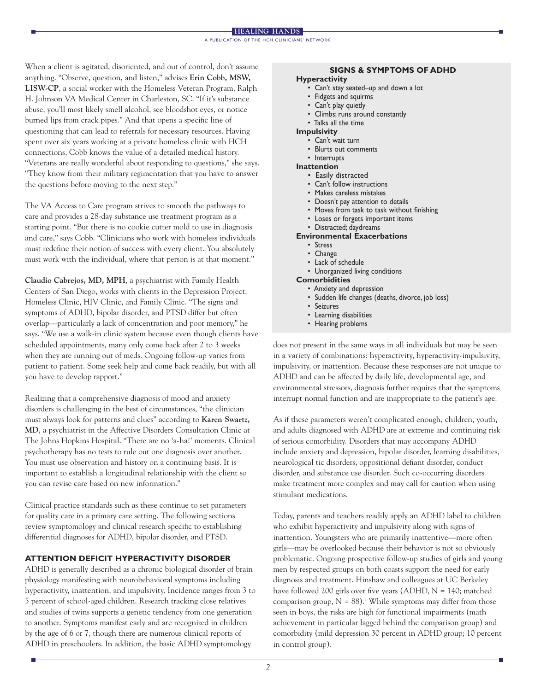When a client is agitated, disoriented, and out of control, don't assume anything. "Observe, question, and listen," advises **Erin Cobb, MSW, LISW-CP**, a social worker with the Homeless Veteran Program, Ralph H. Johnson VA Medical Center in Charleston, SC. "If it's substance abuse, you'll most likely smell alcohol, see bloodshot eyes, or notice burned lips from crack pipes." And that opens a specific line of questioning that can lead to referrals for necessary resources. Having spent over six years working at a private homeless clinic with HCH connections, Cobb knows the value of a detailed medical history. "Veterans are really wonderful about responding to questions," she says. "They know from their military regimentation that you have to answer the questions before moving to the next step."

The VA Access to Care program strives to smooth the pathways to care and provides a 28-day substance use treatment program as a starting point. "But there is no cookie cutter mold to use in diagnosis and care," says Cobb. "Clinicians who work with homeless individuals must redefine their notion of success with every client. You absolutely must work with the individual, where that person is at that moment."

**Claudio Cabrejos, MD, MPH**, a psychiatrist with Family Health Centers of San Diego, works with clients in the Depression Project, Homeless Clinic, HIV Clinic, and Family Clinic. "The signs and symptoms of ADHD, bipolar disorder, and PTSD differ but often overlap—particularly a lack of concentration and poor memory," he says. "We use a walk-in clinic system because even though clients have scheduled appointments, many only come back after 2 to 3 weeks when they are running out of meds. Ongoing follow-up varies from patient to patient. Some seek help and come back readily, but with all you have to develop rapport."

Realizing that a comprehensive diagnosis of mood and anxiety disorders is challenging in the best of circumstances, "the clinician must always look for patterns and clues" according to **Karen Swartz, MD**, a psychiatrist in the Affective Disorders Consultation Clinic at The Johns Hopkins Hospital. "There are no 'a-ha!' moments. Clinical psychotherapy has no tests to rule out one diagnosis over another. You must use observation and history on a continuing basis. It is important to establish a longitudinal relationship with the client so you can revise care based on new information."

Clinical practice standards such as these continue to set parameters for quality care in a primary care setting. The following sections review symptomology and clinical research specific to establishing differential diagnoses for ADHD, bipolar disorder, and PTSD.

# **ATTENTION DEFICIT HYPERACTIVITY DISORDER**

ADHD is generally described as a chronic biological disorder of brain physiology manifesting with neurobehavioral symptoms including hyperactivity, inattention, and impulsivity. Incidence ranges from 3 to 5 percent of school-aged children. Research tracking close relatives and studies of twins supports a genetic tendency from one generation to another. Symptoms manifest early and are recognized in children by the age of 6 or 7, though there are numerous clinical reports of ADHD in preschoolers. In addition, the basic ADHD symptomology

# **SIGNS & SYMPTOMS OF ADHD**

### **Hyperactivity**

- Can't stay seated–up and down a lot
- Fidgets and squirms
- Can't play quietly
- Climbs; runs around constantly
- Talks all the time
- **Impulsivity** 
	- Can't wait turn
	- Blurts out comments
	- Interrupts
- **Inattention** 
	- Easily distracted
	- Can't follow instructions
	- Makes careless mistakes
	- Doesn't pay attention to details
	- Moves from task to task without finishing
	- Loses or forgets important items
	- Distracted; daydreams

#### **Environmental Exacerbations**

- Stress
- Change
- Lack of schedule
- Unorganized living conditions

#### **Comorbidities**

- Anxiety and depression
- Sudden life changes (deaths, divorce, job loss)
- Seizures
- Learning disabilities
- Hearing problems

does not present in the same ways in all individuals but may be seen in a variety of combinations: hyperactivity, hyperactivity-impulsivity, impulsivity, or inattention. Because these responses are not unique to ADHD and can be affected by daily life, developmental age, and environmental stressors, diagnosis further requires that the symptoms interrupt normal function and are inappropriate to the patient's age.

As if these parameters weren't complicated enough, children, youth, and adults diagnosed with ADHD are at extreme and continuing risk of serious comorbidity. Disorders that may accompany ADHD include anxiety and depression, bipolar disorder, learning disabilities, neurological tic disorders, oppositional defiant disorder, conduct disorder, and substance use disorder. Such co-occurring disorders make treatment more complex and may call for caution when using stimulant medications.

Today, parents and teachers readily apply an ADHD label to children who exhibit hyperactivity and impulsivity along with signs of inattention. Youngsters who are primarily inattentive—more often girls—may be overlooked because their behavior is not so obviously problematic. Ongoing prospective follow-up studies of girls and young men by respected groups on both coasts support the need for early diagnosis and treatment. Hinshaw and colleagues at UC Berkeley have followed 200 girls over five years (ADHD,  $N = 140$ ; matched comparison group,  $N = 88$ .<sup>4</sup> While symptoms may differ from those seen in boys, the risks are high for functional impairments (math achievement in particular lagged behind the comparison group) and comorbidity (mild depression 30 percent in ADHD group; 10 percent in control group).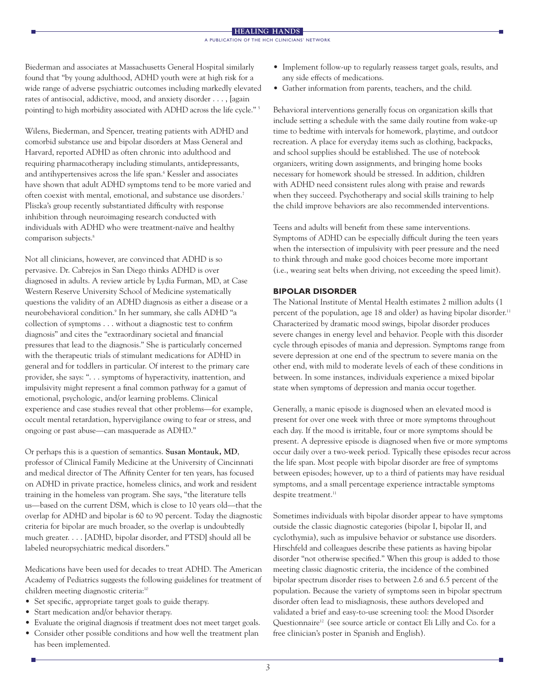Biederman and associates at Massachusetts General Hospital similarly found that "by young adulthood, ADHD youth were at high risk for a wide range of adverse psychiatric outcomes including markedly elevated rates of antisocial, addictive, mood, and anxiety disorder . . . , [again pointing] to high morbidity associated with ADHD across the life cycle." 5

Wilens, Biederman, and Spencer, treating patients with ADHD and comorbid substance use and bipolar disorders at Mass General and Harvard, reported ADHD as often chronic into adulthood and requiring pharmacotherapy including stimulants, antidepressants, and antihypertensives across the life span.<sup>6</sup> Kessler and associates have shown that adult ADHD symptoms tend to be more varied and often coexist with mental, emotional, and substance use disorders.7 Pliszka's group recently substantiated difficulty with response inhibition through neuroimaging research conducted with individuals with ADHD who were treatment-naïve and healthy comparison subjects.<sup>8</sup>

Not all clinicians, however, are convinced that ADHD is so pervasive. Dr. Cabrejos in San Diego thinks ADHD is over diagnosed in adults. A review article by Lydia Furman, MD, at Case Western Reserve University School of Medicine systematically questions the validity of an ADHD diagnosis as either a disease or a neurobehavioral condition.9 In her summary, she calls ADHD "a collection of symptoms . . . without a diagnostic test to confirm diagnosis" and cites the "extraordinary societal and financial pressures that lead to the diagnosis." She is particularly concerned with the therapeutic trials of stimulant medications for ADHD in general and for toddlers in particular. Of interest to the primary care provider, she says: ". . . symptoms of hyperactivity, inattention, and impulsivity might represent a final common pathway for a gamut of emotional, psychologic, and/or learning problems. Clinical experience and case studies reveal that other problems—for example, occult mental retardation, hypervigilance owing to fear or stress, and ongoing or past abuse—can masquerade as ADHD."

Or perhaps this is a question of semantics. **Susan Montauk, MD**, professor of Clinical Family Medicine at the University of Cincinnati and medical director of The Affinity Center for ten years, has focused on ADHD in private practice, homeless clinics, and work and resident training in the homeless van program. She says, "the literature tells us—based on the current DSM, which is close to 10 years old—that the overlap for ADHD and bipolar is 60 to 90 percent. Today the diagnostic criteria for bipolar are much broader, so the overlap is undoubtedly much greater. . . . [ADHD, bipolar disorder, and PTSD] should all be labeled neuropsychiatric medical disorders."

Medications have been used for decades to treat ADHD. The American Academy of Pediatrics suggests the following guidelines for treatment of children meeting diagnostic criteria:<sup>10</sup>

- Set specific, appropriate target goals to guide therapy.
- Start medication and/or behavior therapy.
- Evaluate the original diagnosis if treatment does not meet target goals.
- Consider other possible conditions and how well the treatment plan has been implemented.
- Implement follow-up to regularly reassess target goals, results, and any side effects of medications.
- Gather information from parents, teachers, and the child.

Behavioral interventions generally focus on organization skills that include setting a schedule with the same daily routine from wake-up time to bedtime with intervals for homework, playtime, and outdoor recreation. A place for everyday items such as clothing, backpacks, and school supplies should be established. The use of notebook organizers, writing down assignments, and bringing home books necessary for homework should be stressed. In addition, children with ADHD need consistent rules along with praise and rewards when they succeed. Psychotherapy and social skills training to help the child improve behaviors are also recommended interventions.

Teens and adults will benefit from these same interventions. Symptoms of ADHD can be especially difficult during the teen years when the intersection of impulsivity with peer pressure and the need to think through and make good choices become more important (i.e., wearing seat belts when driving, not exceeding the speed limit).

# **BIPOLAR DISORDER**

The National Institute of Mental Health estimates 2 million adults (1 percent of the population, age 18 and older) as having bipolar disorder.<sup>11</sup> Characterized by dramatic mood swings, bipolar disorder produces severe changes in energy level and behavior. People with this disorder cycle through episodes of mania and depression. Symptoms range from severe depression at one end of the spectrum to severe mania on the other end, with mild to moderate levels of each of these conditions in between. In some instances, individuals experience a mixed bipolar state when symptoms of depression and mania occur together.

Generally, a manic episode is diagnosed when an elevated mood is present for over one week with three or more symptoms throughout each day. If the mood is irritable, four or more symptoms should be present. A depressive episode is diagnosed when five or more symptoms occur daily over a two-week period. Typically these episodes recur across the life span. Most people with bipolar disorder are free of symptoms between episodes; however, up to a third of patients may have residual symptoms, and a small percentage experience intractable symptoms despite treatment.<sup>11</sup>

Sometimes individuals with bipolar disorder appear to have symptoms outside the classic diagnostic categories (bipolar I, bipolar II, and cyclothymia), such as impulsive behavior or substance use disorders. Hirschfeld and colleagues describe these patients as having bipolar disorder "not otherwise specified." When this group is added to those meeting classic diagnostic criteria, the incidence of the combined bipolar spectrum disorder rises to between 2.6 and 6.5 percent of the population. Because the variety of symptoms seen in bipolar spectrum disorder often lead to misdiagnosis, these authors developed and validated a brief and easy-to-use screening tool: the Mood Disorder Questionnaire<sup>12</sup> (see source article or contact Eli Lilly and Co. for a free clinician's poster in Spanish and English).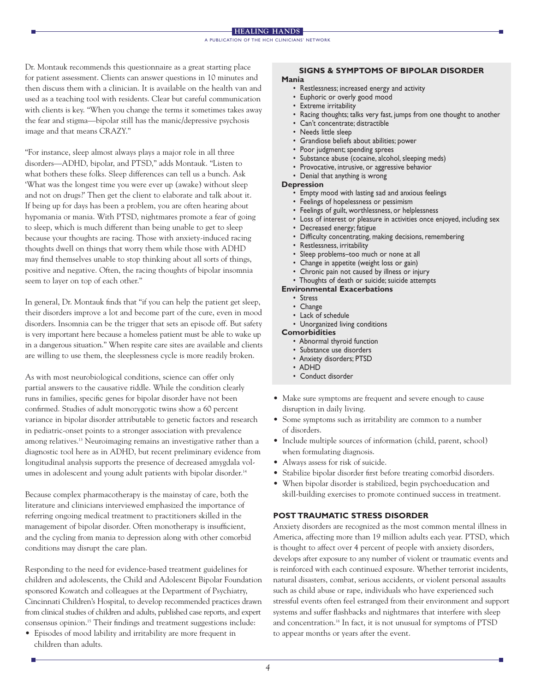Dr. Montauk recommends this questionnaire as a great starting place for patient assessment. Clients can answer questions in 10 minutes and then discuss them with a clinician. It is available on the health van and used as a teaching tool with residents. Clear but careful communication with clients is key. "When you change the terms it sometimes takes away the fear and stigma—bipolar still has the manic/depressive psychosis image and that means CRAZY."

"For instance, sleep almost always plays a major role in all three disorders—ADHD, bipolar, and PTSD," adds Montauk. "Listen to what bothers these folks. Sleep differences can tell us a bunch. Ask 'What was the longest time you were ever up (awake) without sleep and not on drugs?' Then get the client to elaborate and talk about it. If being up for days has been a problem, you are often hearing about hypomania or mania. With PTSD, nightmares promote a fear of going to sleep, which is much different than being unable to get to sleep because your thoughts are racing. Those with anxiety-induced racing thoughts dwell on things that worry them while those with ADHD may find themselves unable to stop thinking about all sorts of things, positive and negative. Often, the racing thoughts of bipolar insomnia seem to layer on top of each other."

In general, Dr. Montauk finds that "if you can help the patient get sleep, their disorders improve a lot and become part of the cure, even in mood disorders. Insomnia can be the trigger that sets an episode off. But safety is very important here because a homeless patient must be able to wake up in a dangerous situation." When respite care sites are available and clients are willing to use them, the sleeplessness cycle is more readily broken.

As with most neurobiological conditions, science can offer only partial answers to the causative riddle. While the condition clearly runs in families, specific genes for bipolar disorder have not been confirmed. Studies of adult monozygotic twins show a 60 percent variance in bipolar disorder attributable to genetic factors and research in pediatric-onset points to a stronger association with prevalence among relatives.<sup>13</sup> Neuroimaging remains an investigative rather than a diagnostic tool here as in ADHD, but recent preliminary evidence from longitudinal analysis supports the presence of decreased amygdala volumes in adolescent and young adult patients with bipolar disorder.<sup>14</sup>

Because complex pharmacotherapy is the mainstay of care, both the literature and clinicians interviewed emphasized the importance of referring ongoing medical treatment to practitioners skilled in the management of bipolar disorder. Often monotherapy is insufficient, and the cycling from mania to depression along with other comorbid conditions may disrupt the care plan.

Responding to the need for evidence-based treatment guidelines for children and adolescents, the Child and Adolescent Bipolar Foundation sponsored Kowatch and colleagues at the Department of Psychiatry, Cincinnati Children's Hospital, to develop recommended practices drawn from clinical studies of children and adults, published case reports, and expert consensus opinion.15 Their findings and treatment suggestions include:

• Episodes of mood lability and irritability are more frequent in children than adults.

# **SIGNS & SYMPTOMS OF BIPOLAR DISORDER**

# **Mania**

- Restlessness; increased energy and activity
- Euphoric or overly good mood
- **Extreme** irritability
- Racing thoughts; talks very fast, jumps from one thought to another
- Can't concentrate; distractible
- Needs little sleep
- Grandiose beliefs about abilities; power
- Poor judgment; spending sprees
- Substance abuse (cocaine, alcohol, sleeping meds)
- Provocative, intrusive, or aggressive behavior
- Denial that anything is wrong

#### **Depression**

- Empty mood with lasting sad and anxious feelings
- Feelings of hopelessness or pessimism
- Feelings of guilt, worthlessness, or helplessness
- Loss of interest or pleasure in activities once enjoyed, including sex
- Decreased energy; fatigue
- Difficulty concentrating, making decisions, remembering
- Restlessness, irritability
- Sleep problems–too much or none at all
- Change in appetite (weight loss or gain)
- Chronic pain not caused by illness or injury
- Thoughts of death or suicide; suicide attempts

### **Environmental Exacerbations**

- Stress
- Change
- Lack of schedule • Unorganized living conditions
- **Comorbidities**

- Abnormal thyroid function • Substance use disorders
- Anxiety disorders; PTSD
- ADHD
- Conduct disorder
- Make sure symptoms are frequent and severe enough to cause disruption in daily living.
- Some symptoms such as irritability are common to a number of disorders.
- Include multiple sources of information (child, parent, school) when formulating diagnosis.
- Always assess for risk of suicide.
- Stabilize bipolar disorder first before treating comorbid disorders.
- When bipolar disorder is stabilized, begin psychoeducation and skill-building exercises to promote continued success in treatment.

# **POST TRAUMATIC STRESS DISORDER**

Anxiety disorders are recognized as the most common mental illness in America, affecting more than 19 million adults each year. PTSD, which is thought to affect over 4 percent of people with anxiety disorders, develops after exposure to any number of violent or traumatic events and is reinforced with each continued exposure. Whether terrorist incidents, natural disasters, combat, serious accidents, or violent personal assaults such as child abuse or rape, individuals who have experienced such stressful events often feel estranged from their environment and support systems and suffer flashbacks and nightmares that interfere with sleep and concentration.<sup>16</sup> In fact, it is not unusual for symptoms of PTSD to appear months or years after the event.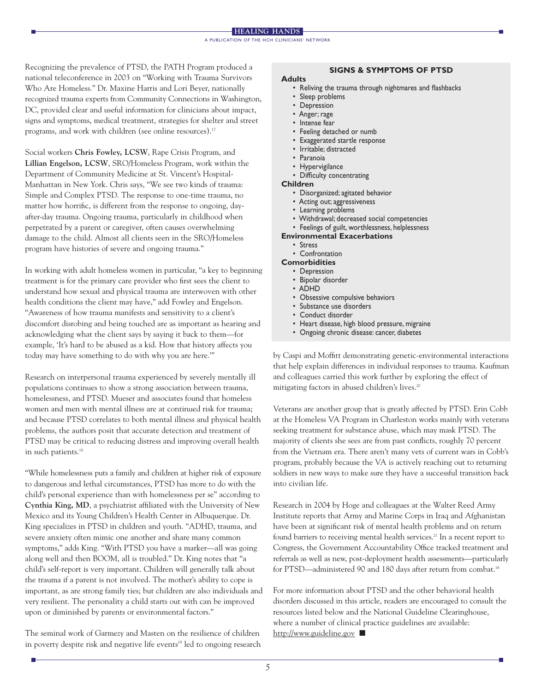Recognizing the prevalence of PTSD, the PATH Program produced a national teleconference in 2003 on "Working with Trauma Survivors Who Are Homeless." Dr. Maxine Harris and Lori Beyer, nationally recognized trauma experts from Community Connections in Washington, DC, provided clear and useful information for clinicians about impact, signs and symptoms, medical treatment, strategies for shelter and street programs, and work with children (see online resources).17

Social workers **Chris Fowley, LCSW**, Rape Crisis Program, and **Lillian Engelson, LCSW**, SRO/Homeless Program, work within the Department of Community Medicine at St. Vincent's Hospital-Manhattan in New York. Chris says, "We see two kinds of trauma: Simple and Complex PTSD. The response to one-time trauma, no matter how horrific, is different from the response to ongoing, dayafter-day trauma. Ongoing trauma, particularly in childhood when perpetrated by a parent or caregiver, often causes overwhelming damage to the child. Almost all clients seen in the SRO/Homeless program have histories of severe and ongoing trauma."

In working with adult homeless women in particular, "a key to beginning treatment is for the primary care provider who first sees the client to understand how sexual and physical trauma are interwoven with other health conditions the client may have," add Fowley and Engelson. "Awareness of how trauma manifests and sensitivity to a client's discomfort disrobing and being touched are as important as hearing and acknowledging what the client says by saying it back to them—for example, 'It's hard to be abused as a kid. How that history affects you today may have something to do with why you are here.'"

Research on interpersonal trauma experienced by severely mentally ill populations continues to show a strong association between trauma, homelessness, and PTSD. Mueser and associates found that homeless women and men with mental illness are at continued risk for trauma; and because PTSD correlates to both mental illness and physical health problems, the authors posit that accurate detection and treatment of PTSD may be critical to reducing distress and improving overall health in such patients.<sup>18</sup>

"While homelessness puts a family and children at higher risk of exposure to dangerous and lethal circumstances, PTSD has more to do with the child's personal experience than with homelessness per se" according to **Cynthia King, MD**, a psychiatrist affiliated with the University of New Mexico and its Young Children's Health Center in Albuquerque. Dr. King specializes in PTSD in children and youth. "ADHD, trauma, and severe anxiety often mimic one another and share many common symptoms," adds King. "With PTSD you have a marker—all was going along well and then BOOM, all is troubled." Dr. King notes that "a child's self-report is very important. Children will generally talk about the trauma if a parent is not involved. The mother's ability to cope is important, as are strong family ties; but children are also individuals and very resilient. The personality a child starts out with can be improved upon or diminished by parents or environmental factors."

The seminal work of Garmezy and Masten on the resilience of children in poverty despite risk and negative life events<sup>19</sup> led to ongoing research

# **SIGNS & SYMPTOMS OF PTSD**

#### **Adults**

- Reliving the trauma through nightmares and flashbacks
- Sleep problems
- Depression
- Anger; rage
- Intense fear
- Feeling detached or numb
- Exaggerated startle response
- Irritable; distracted
- Paranoia
- Hypervigilance
- Difficulty concentrating

#### **Children**

- Disorganized; agitated behavior
- Acting out; aggressiveness
- Learning problems
- Withdrawal; decreased social competencies
- Feelings of guilt, worthlessness, helplessness

# **Environmental Exacerbations**

- Stress
- Confrontation

#### **Comorbidities**

- Depression
- Bipolar disorder
- ADHD
- Obsessive compulsive behaviors
- Substance use disorders
- Conduct disorder
- Heart disease, high blood pressure, migraine
- Ongoing chronic disease: cancer, diabetes

by Caspi and Moffitt demonstrating genetic-environmental interactions that help explain differences in individual responses to trauma. Kaufman and colleagues carried this work further by exploring the effect of mitigating factors in abused children's lives.<sup>20</sup>

Veterans are another group that is greatly affected by PTSD. Erin Cobb at the Homeless VA Program in Charleston works mainly with veterans seeking treatment for substance abuse, which may mask PTSD. The majority of clients she sees are from past conflicts, roughly 70 percent from the Vietnam era. There aren't many vets of current wars in Cobb's program, probably because the VA is actively reaching out to returning soldiers in new ways to make sure they have a successful transition back into civilian life.

Research in 2004 by Hoge and colleagues at the Walter Reed Army Institute reports that Army and Marine Corps in Iraq and Afghanistan have been at significant risk of mental health problems and on return found barriers to receiving mental health services.<sup>21</sup> In a recent report to Congress, the Government Accountability Office tracked treatment and referrals as well as new, post-deployment health assessments—particularly for PTSD—administered 90 and 180 days after return from combat.<sup>16</sup>

For more information about PTSD and the other behavioral health disorders discussed in this article, readers are encouraged to consult the resources listed below and the National Guideline Clearinghouse, where a number of clinical practice guidelines are available: http://www.guideline.gov **■**